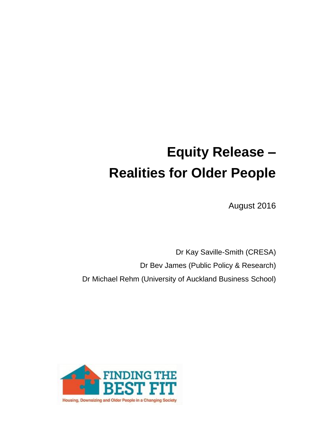# **Equity Release – Realities for Older People**

August 2016

Dr Kay Saville-Smith (CRESA) Dr Bev James (Public Policy & Research) Dr Michael Rehm (University of Auckland Business School)

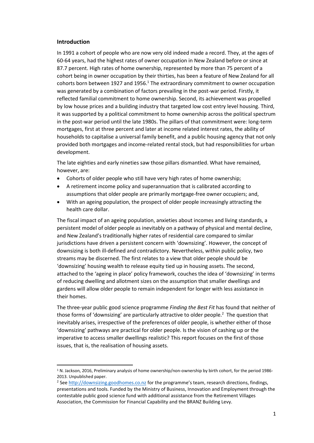## **Introduction**

 $\overline{a}$ 

In 1991 a cohort of people who are now very old indeed made a record. They, at the ages of 60-64 years, had the highest rates of owner occupation in New Zealand before or since at 87.7 percent. High rates of home ownership, represented by more than 75 percent of a cohort being in owner occupation by their thirties, has been a feature of New Zealand for all cohorts born between 1927 and 1956. $1$  The extraordinary commitment to owner occupation was generated by a combination of factors prevailing in the post-war period. Firstly, it reflected familial commitment to home ownership. Second, its achievement was propelled by low house prices and a building industry that targeted low cost entry level housing. Third, it was supported by a political commitment to home ownership across the political spectrum in the post-war period until the late 1980s. The pillars of that commitment were: long-term mortgages, first at three percent and later at income related interest rates, the ability of households to capitalise a universal family benefit, and a public housing agency that not only provided both mortgages and income-related rental stock, but had responsibilities for urban development.

The late eighties and early nineties saw those pillars dismantled. What have remained, however, are:

- Cohorts of older people who still have very high rates of home ownership;
- A retirement income policy and superannuation that is calibrated according to assumptions that older people are primarily mortgage-free owner occupiers; and,
- With an ageing population, the prospect of older people increasingly attracting the health care dollar.

The fiscal impact of an ageing population, anxieties about incomes and living standards, a persistent model of older people as inevitably on a pathway of physical and mental decline, and New Zealand's traditionally higher rates of residential care compared to similar jurisdictions have driven a persistent concern with 'downsizing'. However, the concept of downsizing is both ill-defined and contradictory. Nevertheless, within public policy, two streams may be discerned. The first relates to a view that older people should be 'downsizing' housing wealth to release equity tied up in housing assets. The second, attached to the 'ageing in place' policy framework, couches the idea of 'downsizing' in terms of reducing dwelling and allotment sizes on the assumption that smaller dwellings and gardens will allow older people to remain independent for longer with less assistance in their homes.

The three-year public good science programme *Finding the Best Fit* has found that neither of those forms of 'downsizing' are particularly attractive to older people.<sup>2</sup> The question that inevitably arises, irrespective of the preferences of older people, is whether either of those 'downsizing' pathways are practical for older people. Is the vision of cashing up or the imperative to access smaller dwellings realistic? This report focuses on the first of those issues, that is, the realisation of housing assets.

<sup>1</sup> N. Jackson, 2016, Preliminary analysis of home ownership/non-ownership by birth cohort, for the period 1986- 2013. Unpublished paper.

<sup>&</sup>lt;sup>2</sup> See [http://downsizing.goodhomes.co.nz](http://downsizing.goodhomes.co.nz/) for the programme's team, research directions, findings, presentations and tools. Funded by the Ministry of Business, Innovation and Employment through the contestable public good science fund with additional assistance from the Retirement Villages Association, the Commission for Financial Capability and the BRANZ Building Levy.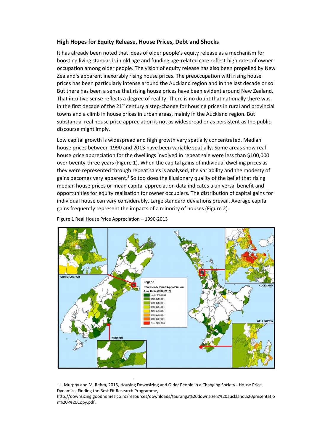## **High Hopes for Equity Release, House Prices, Debt and Shocks**

It has already been noted that ideas of older people's equity release as a mechanism for boosting living standards in old age and funding age-related care reflect high rates of owner occupation among older people. The vision of equity release has also been propelled by New Zealand's apparent inexorably rising house prices. The preoccupation with rising house prices has been particularly intense around the Auckland region and in the last decade or so. But there has been a sense that rising house prices have been evident around New Zealand. That intuitive sense reflects a degree of reality. There is no doubt that nationally there was in the first decade of the  $21<sup>st</sup>$  century a step-change for housing prices in rural and provincial towns and a climb in house prices in urban areas, mainly in the Auckland region. But substantial real house price appreciation is not as widespread or as persistent as the public discourse might imply.

Low capital growth is widespread and high growth very spatially concentrated. Median house prices between 1990 and 2013 have been variable spatially. Some areas show real house price appreciation for the dwellings involved in repeat sale were less than \$100,000 over twenty-three years (Figure 1). When the capital gains of individual dwelling prices as they were represented through repeat sales is analysed, the variability and the modesty of gains becomes very apparent.<sup>3</sup> So too does the illusionary quality of the belief that rising median house prices or mean capital appreciation data indicates a universal benefit and opportunities for equity realisation for owner occupiers. The distribution of capital gains for individual house can vary considerably. Large standard deviations prevail. Average capital gains frequently represent the impacts of a minority of houses (Figure 2).



Figure 1 Real House Price Appreciation – 1990-2013

1

<sup>&</sup>lt;sup>3</sup> L. Murphy and M. Rehm, 2015, Housing Downsizing and Older People in a Changing Society - House Price Dynamics, Finding the Best Fit Research Programme,

http://downsizing.goodhomes.co.nz/resources/downloads/tauranga%20downsizers%20auckland%20presentatio n%20-%20Copy.pdf.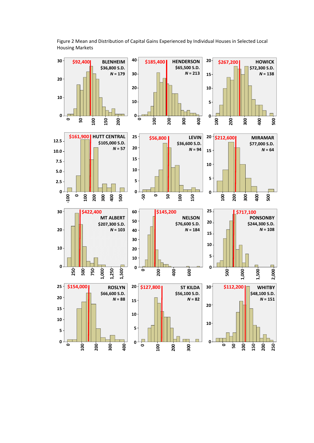

Figure 2 Mean and Distribution of Capital Gains Experienced by Individual Houses in Selected Local Housing Markets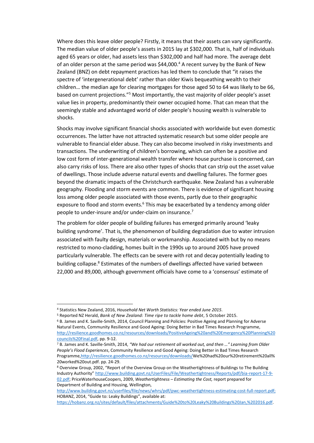Where does this leave older people? Firstly, it means that their assets can vary significantly. The median value of older people's assets in 2015 lay at \$302,000. That is, half of individuals aged 65 years or older, had assets less than \$302,000 and half had more. The average debt of an older person at the same period was \$44,000.<sup>4</sup> A recent survey by the Bank of New Zealand (BNZ) on debt repayment practices has led them to conclude that "it raises the spectre of 'intergenerational debt' rather than older Kiwis bequeathing wealth to their children… the median age for clearing mortgages for those aged 50 to 64 was likely to be 66, based on current projections."<sup>5</sup> Most importantly, the vast majority of older people's asset value lies in property, predominantly their owner occupied home. That can mean that the seemingly stable and advantaged world of older people's housing wealth is vulnerable to shocks.

Shocks may involve significant financial shocks associated with worldwide but even domestic occurrences. The latter have not attracted systematic research but some older people are vulnerable to financial elder abuse. They can also become involved in risky investments and transactions. The underwriting of children's borrowing, which can often be a positive and low cost form of inter-generational wealth transfer where house purchase is concerned, can also carry risks of loss. There are also other types of shocks that can strip out the asset value of dwellings. Those include adverse natural events and dwelling failures. The former goes beyond the dramatic impacts of the Christchurch earthquake. New Zealand has a vulnerable geography. Flooding and storm events are common. There is evidence of significant housing loss among older people associated with those events, partly due to their geographic exposure to flood and storm events.<sup>6</sup> This may be exacerbated by a tendency among older people to under-insure and/or under-claim on insurance.<sup>7</sup>

The problem for older people of building failures has emerged primarily around 'leaky building syndrome'. That is, the phenomenon of building degradation due to water intrusion associated with faulty design, materials or workmanship. Associated with but by no means restricted to mono-cladding, homes built in the 1990s up to around 2005 have proved particularly vulnerable. The effects can be severe with rot and decay potentially leading to building collapse. <sup>8</sup> Estimates of the numbers of dwellings affected have varied between 22,000 and 89,000, although government officials have come to a 'consensus' estimate of

1

<sup>4</sup> Statistics New Zealand, 2016, *Household Net Worth Statistics: Year ended June 2015*.

<sup>5</sup> Reported NZ Herald, *Bank of New Zealand: Time ripe to tackle home debt*, 5 October 2015.

<sup>6</sup> B. James and K. Saville-Smith, 2014, Council Planning and Policies: Positive Ageing and Planning for Adverse Natural Events, Community Resilience and Good Ageing: Doing Better in Bad Times Research Programme, [http://resilience.goodhomes.co.nz/resources/downloads/PositiveAgeing%20and%20Emergency%20Planning%20](http://resilience.goodhomes.co.nz/resources/downloads/PositiveAgeing%20and%20Emergency%20Planning%20councils%20Final.pdf) [councils%20Final.pdf,](http://resilience.goodhomes.co.nz/resources/downloads/PositiveAgeing%20and%20Emergency%20Planning%20councils%20Final.pdf) pp. 9-12.

<sup>7</sup> B. James and K. Saville-Smith, 2014, *"We had our retirement all worked out, and then …" Learning from Older People's Flood Experiences*, Community Resilience and Good Ageing: Doing Better in Bad Times Research Programm[e,http://resilience.goodhomes.co.nz/resources/downloads/W](http://resilience.goodhomes.co.nz/resources/downloads/)e%20had%20our%20retirement%20all% 20worked%20out.pdf. pp. 24-29.

<sup>8</sup> Overview Group, 2002, "Report of the Overview Group on the Weathertightness of Buildings to The Building Industry Authority" [http://www.building.govt.nz/UserFiles/File/Weathertightness/Reports/pdf/bia-report-17-9-](http://www.building.govt.nz/UserFiles/File/Weathertightness/Reports/pdf/bia-report-17-9-02.pdf) [02.pdf;](http://www.building.govt.nz/UserFiles/File/Weathertightness/Reports/pdf/bia-report-17-9-02.pdf) PriceWaterhouseCoopers, 2009, *Weathertightness – Estimating the Cost,* report prepared for Department of Building and Housing, Wellington,

[http://www.building.govt.nz/userfiles/file/news/whrs/pdf/pwc-weathertightness-estimating-cost-full-report.pdf;](http://www.building.govt.nz/userfiles/file/news/whrs/pdf/pwc-weathertightness-estimating-cost-full-report.pdf)  HOBANZ, 2014, "Guide to: Leaky Buildings", available at:

[https://hobanz.org.nz/sites/default/files/attachments/Guide%20to%20Leaky%20Buildings%20Jan,%202016.pdf.](https://hobanz.org.nz/sites/default/files/attachments/Guide%20to%20Leaky%20Buildings%20Jan,%202016.pdf)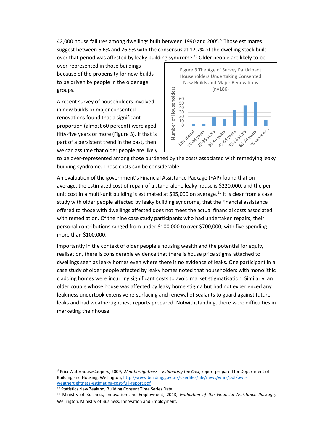42,000 house failures among dwellings built between 1990 and 2005.<sup>9</sup> Those estimates suggest between 6.6% and 26.9% with the consensus at 12.7% of the dwelling stock built over that period was affected by leaky building syndrome. <sup>10</sup> Older people are likely to be

over-represented in those buildings because of the propensity for new-builds to be driven by people in the older age groups.

A recent survey of householders involved in new builds or major consented renovations found that a significant proportion (almost 60 percent) were aged fifty-five years or more (Figure 3). If that is part of a persistent trend in the past, then we can assume that older people are likely



to be over-represented among those burdened by the costs associated with remedying leaky building syndrome. Those costs can be considerable.

An evaluation of the government's Financial Assistance Package (FAP) found that on average, the estimated cost of repair of a stand-alone leaky house is \$220,000, and the per unit cost in a multi-unit building is estimated at \$95,000 on average.<sup>11</sup> It is clear from a case study with older people affected by leaky building syndrome, that the financial assistance offered to those with dwellings affected does not meet the actual financial costs associated with remediation. Of the nine case study participants who had undertaken repairs, their personal contributions ranged from under \$100,000 to over \$700,000, with five spending more than \$100,000.

Importantly in the context of older people's housing wealth and the potential for equity realisation, there is considerable evidence that there is house price stigma attached to dwellings seen as leaky homes even where there is no evidence of leaks. One participant in a case study of older people affected by leaky homes noted that householders with monolithic cladding homes were incurring significant costs to avoid market stigmatisation. Similarly, an older couple whose house was affected by leaky home stigma but had not experienced any leakiness undertook extensive re-surfacing and renewal of sealants to guard against future leaks and had weathertightness reports prepared. Notwithstanding, there were difficulties in marketing their house.

 $\overline{a}$ 

<sup>9</sup> PriceWaterhouseCoopers, 2009, *Weathertightness – Estimating the Cost,* report prepared for Department of Building and Housing, Wellington[, http://www.building.govt.nz/userfiles/file/news/whrs/pdf/pwc](http://www.building.govt.nz/userfiles/file/news/whrs/pdf/pwc-weathertightness-estimating-cost-full-report.pdf)[weathertightness-estimating-cost-full-report.pdf](http://www.building.govt.nz/userfiles/file/news/whrs/pdf/pwc-weathertightness-estimating-cost-full-report.pdf)

<sup>10</sup> Statistics New Zealand, Building Consent Time Series Data.

<sup>11</sup> Ministry of Business, Innovation and Employment, 2013, *Evaluation of the Financial Assistance Package,* Wellington, Ministry of Business, Innovation and Employment.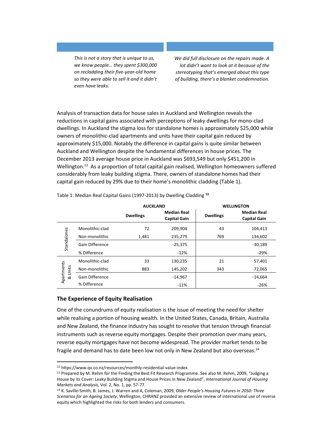*This is not a story that is unique to us, we know people… they spent \$300,000 on recladding their five-year-old home so they were able to sell it and it didn't even have leaks.*

*We did full disclosure on the repairs made. A lot didn't want to look at it because of the stereotyping that's emerged about this type of building, there's a blanket condemnation.*

Analysis of transaction data for house sales in Auckland and Wellington reveals the reductions in capital gains associated with perceptions of leaky dwellings for mono-clad dwellings. In Auckland the stigma loss for standalone homes is approximately \$25,000 while owners of monolithic-clad apartments and units have their capital gain reduced by approximately \$15,000. Notably the difference in capital gains is quite similar between Auckland and Wellington despite the fundamental differences in house prices. The December 2013 average house price in Auckland was \$693,549 but only \$451,200 in Wellington.<sup>12</sup> As a proportion of total capital gain realised, Wellington homeowners suffered considerably from leaky building stigma. There, owners of standalone homes had their capital gain reduced by 29% due to their home's monolithic cladding (Table 1).

|                       |                        | <b>AUCKLAND</b>  |                                           | <b>WELLINGTON</b> |                                           |
|-----------------------|------------------------|------------------|-------------------------------------------|-------------------|-------------------------------------------|
|                       |                        | <b>Dwellings</b> | <b>Median Real</b><br><b>Capital Gain</b> | <b>Dwellings</b>  | <b>Median Real</b><br><b>Capital Gain</b> |
| Standalones           | Monolithic-clad        | 72               | 209,904                                   | 43                | 104,413                                   |
|                       | Non-monolithic         | 1,481            | 235,279                                   | 769               | 134,602                                   |
|                       | <b>Gain Difference</b> |                  | $-25,375$                                 |                   | $-30,189$                                 |
|                       | % Difference           |                  | $-12%$                                    |                   | $-29%$                                    |
| Apartments<br>& Units | Monolithic-clad        | 33               | 130,235                                   | 21                | 57,401                                    |
|                       | Non-monolithic         | 883              | 145,202                                   | 343               | 72,065                                    |
|                       | <b>Gain Difference</b> |                  | $-14,967$                                 |                   | $-14,664$                                 |
|                       | % Difference           |                  | $-11%$                                    |                   | $-26%$                                    |

Table 1: Median Real Capital Gains (1997-2013) by Dwelling Cladding **<sup>13</sup>**

## **The Experience of Equity Realisation**

1

One of the conundrums of equity realisation is the issue of meeting the need for shelter while realising a portion of housing wealth. In the United States, Canada, Britain, Australia and New Zealand, the finance industry has sought to resolve that tension through financial instruments such as reverse equity mortgages. Despite their promotion over many years, reverse equity mortgages have not become widespread. The provider market tends to be fragile and demand has to date been low not only in New Zealand but also overseas.<sup>14</sup>

<sup>12</sup> https://www.qv.co.nz/resources/monthly-residential-value-index

<sup>&</sup>lt;sup>13</sup> Prepared by M. Rehm for the Finding the Best Fit Research Programme. See also M. Rehm, 2009, "Judging a House by its Cover: Leaky Building Stigma and House Prices in New Zealand", *International Journal of Housing Markets and Analysis,* Vol. 2, No. 1, pp. 57-77.

<sup>14</sup> K. Saville-Smith, B. James, J. Warren and A, Coleman, 2009, *Older People's Housing Futures in 2050: Three Scenarios for an Ageing Society*, Wellington, CHRANZ provided an extensive review of international use of reverse equity which highlighted the risks for both lenders and consumers.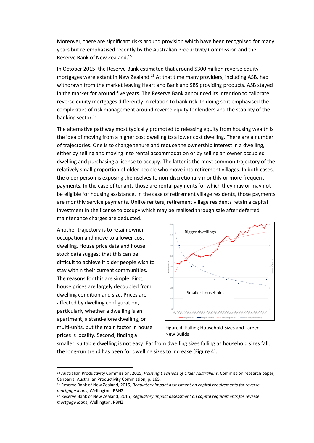Moreover, there are significant risks around provision which have been recognised for many years but re-emphasised recently by the Australian Productivity Commission and the Reserve Bank of New Zealand.<sup>15</sup>

In October 2015, the Reserve Bank estimated that around \$300 million reverse equity mortgages were extant in New Zealand.<sup>16</sup> At that time many providers, including ASB, had withdrawn from the market leaving Heartland Bank and SBS providing products. ASB stayed in the market for around five years. The Reserve Bank announced its intention to calibrate reverse equity mortgages differently in relation to bank risk. In doing so it emphasised the complexities of risk management around reverse equity for lenders and the stability of the banking sector.<sup>17</sup>

The alternative pathway most typically promoted to releasing equity from housing wealth is the idea of moving from a higher cost dwelling to a lower cost dwelling. There are a number of trajectories. One is to change tenure and reduce the ownership interest in a dwelling, either by selling and moving into rental accommodation or by selling an owner occupied dwelling and purchasing a license to occupy. The latter is the most common trajectory of the relatively small proportion of older people who move into retirement villages. In both cases, the older person is exposing themselves to non-discretionary monthly or more frequent payments. In the case of tenants those are rental payments for which they may or may not be eligible for housing assistance. In the case of retirement village residents, those payments are monthly service payments. Unlike renters, retirement village residents retain a capital investment in the license to occupy which may be realised through sale after deferred maintenance charges are deducted.

Another trajectory is to retain owner occupation and move to a lower cost dwelling. House price data and house stock data suggest that this can be difficult to achieve if older people wish to stay within their current communities. The reasons for this are simple. First, house prices are largely decoupled from dwelling condition and size. Prices are affected by dwelling configuration, particularly whether a dwelling is an apartment, a stand-alone dwelling, or multi-units, but the main factor in house prices is locality. Second, finding a

**.** 



Figure 4: Falling Household Sizes and Larger New Builds

smaller, suitable dwelling is not easy. Far from dwelling sizes falling as household sizes fall, the long-run trend has been for dwelling sizes to increase (Figure 4).

<sup>15</sup> Australian Productivity Commission, 2015, *Housing Decisions of Older Australians*, Commission research paper, Canberra, Australian Productivity Commission, p. 165.

<sup>16</sup> Reserve Bank of New Zealand, 2015, *Regulatory impact assessment on capital requirements for reverse mortgage loans*, Wellington, RBNZ.

<sup>17</sup> Reserve Bank of New Zealand, 2015, *Regulatory impact assessment on capital requirements for reverse mortgage loans*, Wellington, RBNZ.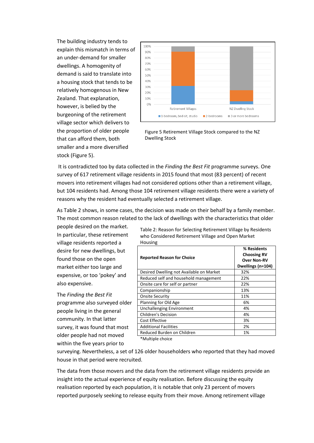The building industry tends to explain this mismatch in terms of an under-demand for smaller dwellings. A homogenity of demand is said to translate into a housing stock that tends to be relatively homogenous in New Zealand. That explanation, however, is belied by the burgeoning of the retirement village sector which delivers to the proportion of older people that can afford them, both smaller and a more diversified stock (Figure 5).



Figure 5 Retirement Village Stock compared to the NZ Dwelling Stock

It is contradicted too by data collected in the *Finding the Best Fit* programme surveys. One survey of 617 retirement village residents in 2015 found that most (83 percent) of recent movers into retirement villages had not considered options other than a retirement village, but 104 residents had. Among those 104 retirement village residents there were a variety of reasons why the resident had eventually selected a retirement village.

As Table 2 shows, in some cases, the decision was made on their behalf by a family member. The most common reason related to the lack of dwellings with the characteristics that older

people desired on the market. In particular, these retirement village residents reported a desire for new dwellings, but found those on the open market either too large and expensive, or too 'pokey' and also expensive.

The *Finding the Best Fit* programme also surveyed older people living in the general community. In that latter survey, it was found that most older people had not moved within the five years prior to

Table 2: Reason for Selecting Retirement Village by Residents who Considered Retirement Village and Open Market Housing

|                                          | % Residents<br><b>Choosing RV</b> |
|------------------------------------------|-----------------------------------|
| <b>Reported Reason for Choice</b>        | <b>Over Non-RV</b>                |
|                                          | Dwellings (n=104)                 |
| Desired Dwelling not Available on Market | 32%                               |
| Reduced self and household management    | 22%                               |
| Onsite care for self or partner          | 22%                               |
| Companionship                            | 13%                               |
| <b>Onsite Security</b>                   | 11%                               |
| Planning for Old Age                     | 6%                                |
| <b>Unchallenging Environment</b>         | 4%                                |
| <b>Children's Decision</b>               | 4%                                |
| <b>Cost Effective</b>                    | 3%                                |
| <b>Additional Facilities</b>             | 2%                                |
| Reduced Burden on Children               | 1%                                |
| *Multinla choica                         |                                   |

\*Multiple choice

surveying. Nevertheless, a set of 126 older householders who reported that they had moved house in that period were recruited.

The data from those movers and the data from the retirement village residents provide an insight into the actual experience of equity realisation. Before discussing the equity realisation reported by each population, it is notable that only 23 percent of movers reported purposely seeking to release equity from their move. Among retirement village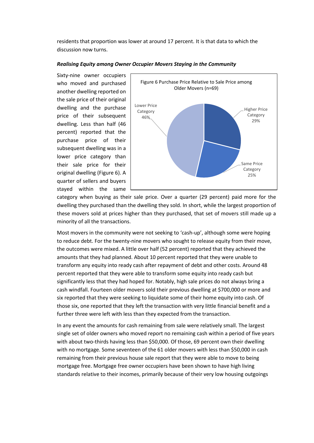residents that proportion was lower at around 17 percent. It is that data to which the discussion now turns.



#### *Realising Equity among Owner Occupier Movers Staying in the Community*

category when buying as their sale price. Over a quarter (29 percent) paid more for the dwelling they purchased than the dwelling they sold. In short, while the largest proportion of these movers sold at prices higher than they purchased, that set of movers still made up a minority of all the transactions.

Most movers in the community were not seeking to 'cash-up', although some were hoping to reduce debt. For the twenty-nine movers who sought to release equity from their move, the outcomes were mixed. A little over half (52 percent) reported that they achieved the amounts that they had planned. About 10 percent reported that they were unable to transform any equity into ready cash after repayment of debt and other costs. Around 48 percent reported that they were able to transform some equity into ready cash but significantly less that they had hoped for. Notably, high sale prices do not always bring a cash windfall. Fourteen older movers sold their previous dwelling at \$700,000 or more and six reported that they were seeking to liquidate some of their home equity into cash. Of those six, one reported that they left the transaction with very little financial benefit and a further three were left with less than they expected from the transaction.

In any event the amounts for cash remaining from sale were relatively small. The largest single set of older owners who moved report no remaining cash within a period of five years with about two-thirds having less than \$50,000. Of those, 69 percent own their dwelling with no mortgage. Some seventeen of the 61 older movers with less than \$50,000 in cash remaining from their previous house sale report that they were able to move to being mortgage free. Mortgage free owner occupiers have been shown to have high living standards relative to their incomes, primarily because of their very low housing outgoings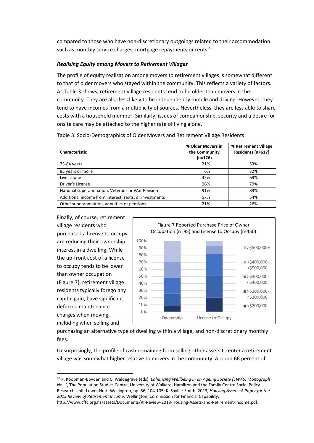compared to those who have non-discretionary outgoings related to their accommodation such as monthly service charges, mortgage repayments or rents.<sup>18</sup>

## *Realising Equity among Movers to Retirement Villages*

The profile of equity realisation among movers to retirement villages is somewhat different to that of older movers who stayed within the community. This reflects a variety of factors. As Table 3 shows, retirement village residents tend to be older than movers in the community. They are also less likely to be independently mobile and driving. However, they tend to have incomes from a multiplicity of sources. Nevertheless, they are less able to share costs with a household member. Similarly, issues of companionship, security and a desire for onsite care may be attached to the higher rate of living alone.

| Characteristic                                         | % Older Movers in<br>the Community<br>(n=126) | % Retirement Village<br>Residents (n=617) |
|--------------------------------------------------------|-----------------------------------------------|-------------------------------------------|
| 75-84 years                                            | 21%                                           | 53%                                       |
| 85 years or more                                       | 6%                                            | 32%                                       |
| Lives alone                                            | 35%                                           | 69%                                       |
| Driver's License                                       | 96%                                           | 79%                                       |
| National superannuation, Veterans or War Pension       | 91%                                           | 89%                                       |
| Additional income from interest, rents, or investments | 57%                                           | 54%                                       |
| Other superannuation, annuities or pensions            | 21%                                           | 26%                                       |

Table 3: Socio-Demographics of Older Movers and Retirement Village Residents

Finally, of course, retirement village residents who purchased a license to occupy are reducing their ownership interest in a dwelling. While the up-front cost of a license to occupy tends to be lower than owner occupation (Figure 7), retirement village residents typically forego any capital gain, have significant deferred maintenance charges when moving, including when selling and

**.** 



purchasing an alternative type of dwelling within a village, and non-discretionary monthly fees.

Unsurprisingly, the profile of cash remaining from selling other assets to enter a retirement village was somewhat higher relative to movers in the community. Around 66 percent of

<sup>18</sup> P. Koopman-Boyden and C. Waldegrave (eds), *Enhancing Wellbeing in an Ageing Society (EWAS) Monograph No. 1*, The Population Studies Centre, University of Waikato, Hamilton and the Family Centre Social Policy Research Unit, Lower Hutt, Wellington, pp. 86, 104-105; K. Saville-Smith, 2013, *Housing Assets: A Paper for the 2013 Review of Retirement Income*, Wellington, Commission for Financial Capability,

http://www.cffc.org.nz/assets/Documents/RI-Review-2013-Housing-Assets-and-Retirement-Income.pdf.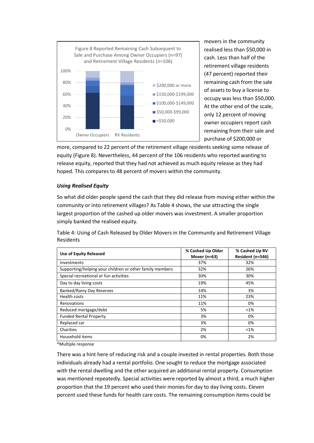

movers in the community realised less than \$50,000 in cash. Less than half of the retirement village residents (47 percent) reported their remaining cash from the sale of assets to buy a license to occupy was less than \$50,000. At the other end of the scale, only 12 percent of moving owner occupiers report cash remaining from their sale and purchase of \$200,000 or

more, compared to 22 percent of the retirement village residents seeking some release of equity (Figure 8). Nevertheless, 44 percent of the 106 residents who reported wanting to release equity, reported that they had not achieved as much equity release as they had hoped. This compares to 48 percent of movers within the community.

## *Using Realised Equity*

So what did older people spend the cash that they did release from moving either within the community or into retirement villages? As Table 4 shows, the use attracting the single largest proportion of the cashed up older movers was investment. A smaller proportion simply banked the realised equity.

Table 4: Using of Cash Released by Older Movers in the Community and Retirement Village Residents

| Use of Equity Released                                   | % Cashed Up Older<br>Mover $(n=63)$ | % Cashed Up RV<br>Resident (n=546) |
|----------------------------------------------------------|-------------------------------------|------------------------------------|
| Investments                                              | 37%                                 | 32%                                |
| Supporting/helping your children or other family members | 32%                                 | 26%                                |
| Special recreational or fun activities                   | 30%                                 | 30%                                |
| Day to day living costs                                  | 19%                                 | 45%                                |
| <b>Banked/Rainy Day Reserves</b>                         | 14%                                 | 3%                                 |
| Health costs                                             | 11%                                 | 23%                                |
| Renovations                                              | 11%                                 | 0%                                 |
| Reduced mortgage/debt                                    | 5%                                  | $< 1\%$                            |
| <b>Funded Rental Property</b>                            | 3%                                  | 0%                                 |
| Replaced car                                             | 3%                                  | 0%                                 |
| Charities                                                | 2%                                  | $< 1\%$                            |
| Household items                                          | 0%                                  | 2%                                 |

\*Multiple response

There was a hint here of reducing risk and a couple invested in rental properties. Both those individuals already had a rental portfolio. One sought to reduce the mortgage associated with the rental dwelling and the other acquired an additional rental property. Consumption was mentioned repeatedly. Special activities were reported by almost a third, a much higher proportion that the 19 percent who used their monies for day to day living costs. Eleven percent used these funds for health care costs. The remaining consumption items could be